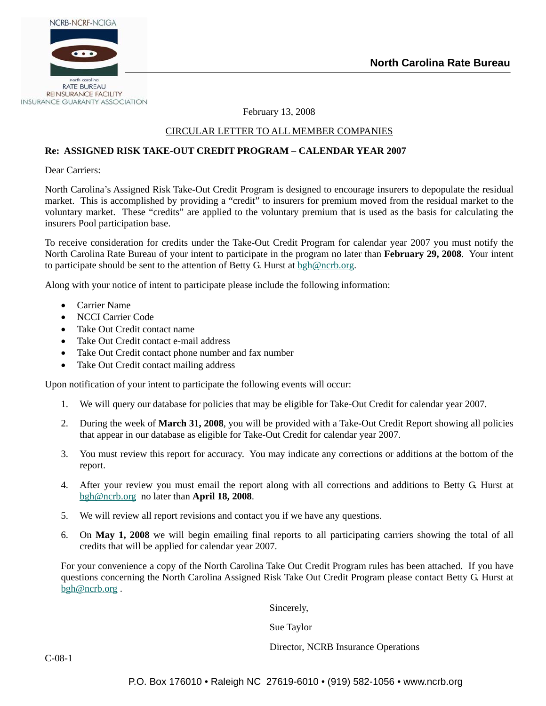

February 13, 2008

## CIRCULAR LETTER TO ALL MEMBER COMPANIES

## **Re: ASSIGNED RISK TAKE-OUT CREDIT PROGRAM – CALENDAR YEAR 2007**

Dear Carriers:

North Carolina's Assigned Risk Take-Out Credit Program is designed to encourage insurers to depopulate the residual market. This is accomplished by providing a "credit" to insurers for premium moved from the residual market to the voluntary market. These "credits" are applied to the voluntary premium that is used as the basis for calculating the insurers Pool participation base.

To receive consideration for credits under the Take-Out Credit Program for calendar year 2007 you must notify the North Carolina Rate Bureau of your intent to participate in the program no later than **February 29, 2008**. Your intent to participate should be sent to the attention of Betty G. Hurst at [bgh@ncrb.org](mailto:bgh@ncrb.org).

Along with your notice of intent to participate please include the following information:

- Carrier Name
- NCCI Carrier Code
- Take Out Credit contact name
- Take Out Credit contact e-mail address
- Take Out Credit contact phone number and fax number
- Take Out Credit contact mailing address

Upon notification of your intent to participate the following events will occur:

- 1. We will query our database for policies that may be eligible for Take-Out Credit for calendar year 2007.
- 2. During the week of **March 31, 2008**, you will be provided with a Take-Out Credit Report showing all policies that appear in our database as eligible for Take-Out Credit for calendar year 2007.
- 3. You must review this report for accuracy. You may indicate any corrections or additions at the bottom of the report.
- 4. After your review you must email the report along with all corrections and additions to Betty G. Hurst at [bgh@ncrb.org](mailto:bgh@ncrb.org) no later than **April 18, 2008**.
- 5. We will review all report revisions and contact you if we have any questions.
- 6. On **May 1, 2008** we will begin emailing final reports to all participating carriers showing the total of all credits that will be applied for calendar year 2007.

For your convenience a copy of the North Carolina Take Out Credit Program rules has been attached. If you have questions concerning the North Carolina Assigned Risk Take Out Credit Program please contact Betty G. Hurst at [bgh@ncrb.org](mailto:bgh@ncrb.org) .

Sincerely,

Sue Taylor

Director, NCRB Insurance Operations

C-08-1